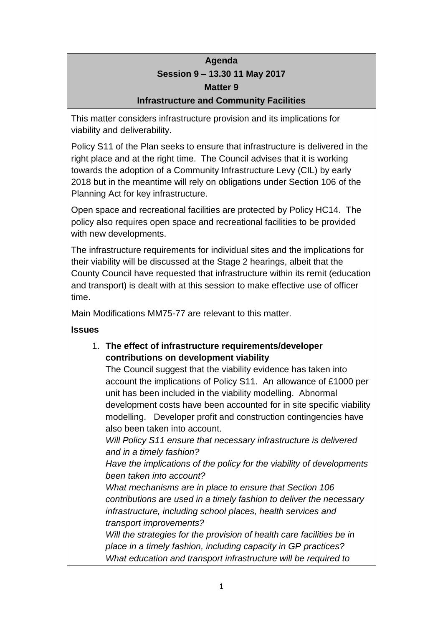### **Agenda Session 9 – 13.30 11 May 2017 Matter 9 Infrastructure and Community Facilities**

This matter considers infrastructure provision and its implications for viability and deliverability.

Policy S11 of the Plan seeks to ensure that infrastructure is delivered in the right place and at the right time. The Council advises that it is working towards the adoption of a Community Infrastructure Levy (CIL) by early 2018 but in the meantime will rely on obligations under Section 106 of the Planning Act for key infrastructure.

Open space and recreational facilities are protected by Policy HC14. The policy also requires open space and recreational facilities to be provided with new developments.

The infrastructure requirements for individual sites and the implications for their viability will be discussed at the Stage 2 hearings, albeit that the County Council have requested that infrastructure within its remit (education and transport) is dealt with at this session to make effective use of officer time.

Main Modifications MM75-77 are relevant to this matter.

**Issues**

#### 1. **The effect of infrastructure requirements/developer contributions on development viability**

The Council suggest that the viability evidence has taken into account the implications of Policy S11. An allowance of £1000 per unit has been included in the viability modelling. Abnormal development costs have been accounted for in site specific viability modelling. Developer profit and construction contingencies have also been taken into account.

*Will Policy S11 ensure that necessary infrastructure is delivered and in a timely fashion?*

*Have the implications of the policy for the viability of developments been taken into account?*

*What mechanisms are in place to ensure that Section 106 contributions are used in a timely fashion to deliver the necessary infrastructure, including school places, health services and transport improvements?*

*Will the strategies for the provision of health care facilities be in place in a timely fashion, including capacity in GP practices? What education and transport infrastructure will be required to*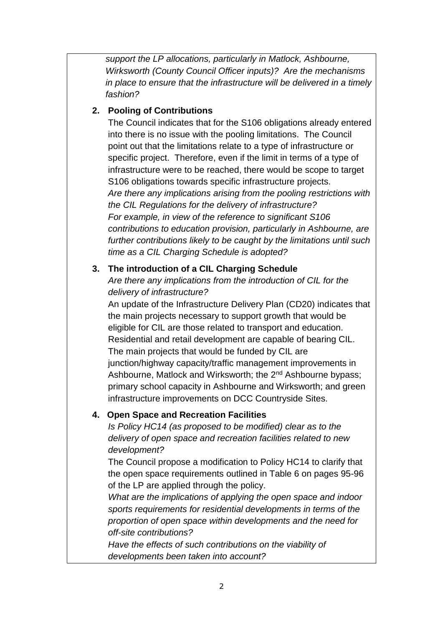*support the LP allocations, particularly in Matlock, Ashbourne, Wirksworth (County Council Officer inputs)? Are the mechanisms in place to ensure that the infrastructure will be delivered in a timely fashion?*

#### **2. Pooling of Contributions**

The Council indicates that for the S106 obligations already entered into there is no issue with the pooling limitations. The Council point out that the limitations relate to a type of infrastructure or specific project. Therefore, even if the limit in terms of a type of infrastructure were to be reached, there would be scope to target S106 obligations towards specific infrastructure projects. *Are there any implications arising from the pooling restrictions with the CIL Regulations for the delivery of infrastructure? For example, in view of the reference to significant S106 contributions to education provision, particularly in Ashbourne, are further contributions likely to be caught by the limitations until such time as a CIL Charging Schedule is adopted?*

#### **3. The introduction of a CIL Charging Schedule**

*Are there any implications from the introduction of CIL for the delivery of infrastructure?*

An update of the Infrastructure Delivery Plan (CD20) indicates that the main projects necessary to support growth that would be eligible for CIL are those related to transport and education. Residential and retail development are capable of bearing CIL. The main projects that would be funded by CIL are junction/highway capacity/traffic management improvements in Ashbourne, Matlock and Wirksworth; the 2<sup>nd</sup> Ashbourne bypass; primary school capacity in Ashbourne and Wirksworth; and green infrastructure improvements on DCC Countryside Sites.

#### **4. Open Space and Recreation Facilities**

*Is Policy HC14 (as proposed to be modified) clear as to the delivery of open space and recreation facilities related to new development?*

The Council propose a modification to Policy HC14 to clarify that the open space requirements outlined in Table 6 on pages 95-96 of the LP are applied through the policy.

*What are the implications of applying the open space and indoor sports requirements for residential developments in terms of the proportion of open space within developments and the need for off-site contributions?*

*Have the effects of such contributions on the viability of developments been taken into account?*